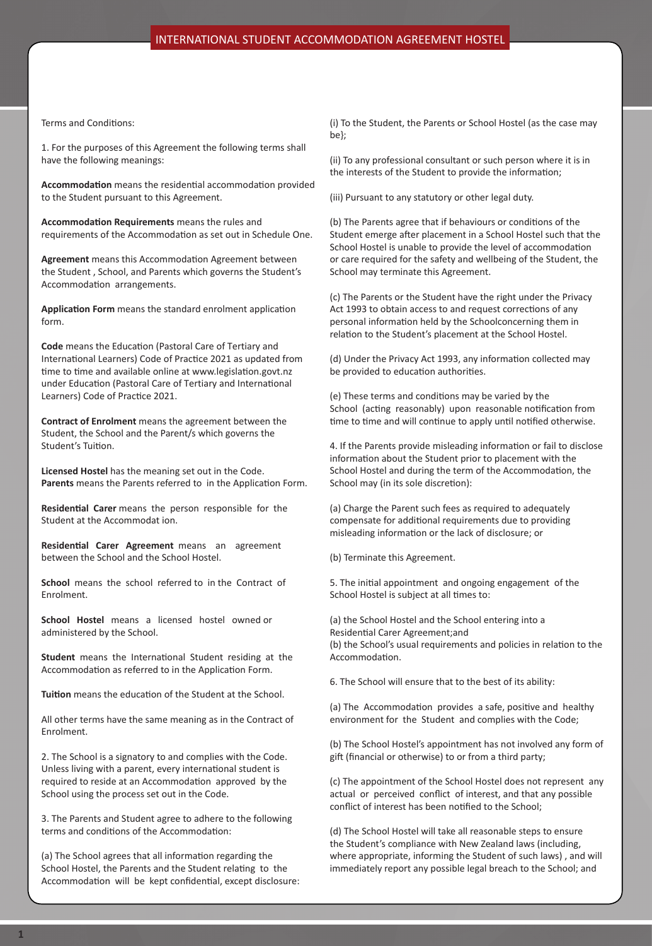Terms and Conditions:

1. For the purposes of this Agreement the following terms shall have the following meanings:

**Accommodation** means the residential accommodation provided to the Student pursuant to this Agreement.

**Accommodation Requirements** means the rules and requirements of the Accommodation as set out in Schedule One.

**Agreement** means this Accommodation Agreement between the Student , School, and Parents which governs the Student's Accommodation arrangements.

**Application Form** means the standard enrolment application form.

**Code** means the Education (Pastoral Care of Tertiary and International Learners) Code of Practice 2021 as updated from time to time and available online at www.legislation.govt.nz under Education (Pastoral Care of Tertiary and International Learners) Code of Practice 2021.

**Contract of Enrolment** means the agreement between the Student, the School and the Parent/s which governs the Student's Tuition.

**Licensed Hostel** has the meaning set out in the Code. **Parents** means the Parents referred to in the Application Form.

**Residential Carer** means the person responsible for the Student at the Accommodat ion.

**Residential Carer Agreement** means an agreement between the School and the School Hostel.

**School** means the school referred to in the Contract of Enrolment.

**School Hostel** means a licensed hostel owned or administered by the School.

**Student** means the International Student residing at the Accommodation as referred to in the Application Form.

**Tuition** means the education of the Student at the School.

All other terms have the same meaning as in the Contract of Enrolment.

2. The School is a signatory to and complies with the Code. Unless living with a parent, every international student is required to reside at an Accommodation approved by the School using the process set out in the Code.

3. The Parents and Student agree to adhere to the following terms and conditions of the Accommodation:

(a) The School agrees that all information regarding the School Hostel, the Parents and the Student relating to the Accommodation will be kept confidential, except disclosure: (i) To the Student, the Parents or School Hostel (as the case may be};

(ii) To any professional consultant or such person where it is in the interests of the Student to provide the information;

(iii) Pursuant to any statutory or other legal duty.

(b) The Parents agree that if behaviours or conditions of the Student emerge after placement in a School Hostel such that the School Hostel is unable to provide the level of accommodation or care required for the safety and wellbeing of the Student, the School may terminate this Agreement.

(c) The Parents or the Student have the right under the Privacy Act 1993 to obtain access to and request corrections of any personal information held by the Schoolconcerning them in relation to the Student's placement at the School Hostel.

(d) Under the Privacy Act 1993, any information collected may be provided to education authorities.

(e) These terms and conditions may be varied by the School (acting reasonably) upon reasonable notification from time to time and will continue to apply until notified otherwise.

4. If the Parents provide misleading information or fail to disclose information about the Student prior to placement with the School Hostel and during the term of the Accommodation, the School may (in its sole discretion):

(a) Charge the Parent such fees as required to adequately compensate for additional requirements due to providing misleading information or the lack of disclosure; or

(b) Terminate this Agreement.

5. The initial appointment and ongoing engagement of the School Hostel is subject at all times to:

(a) the School Hostel and the School entering into a Residential Carer Agreement;and (b) the School's usual requirements and policies in relation to the Accommodation.

6. The School will ensure that to the best of its ability:

(a) The Accommodation provides a safe, positive and healthy environment for the Student and complies with the Code;

(b) The School Hostel's appointment has not involved any form of gift (financial or otherwise) to or from a third party;

(c) The appointment of the School Hostel does not represent any actual or perceived conflict of interest, and that any possible conflict of interest has been notified to the School;

(d) The School Hostel will take all reasonable steps to ensure the Student's compliance with New Zealand laws (including, where appropriate, informing the Student of such laws) , and will immediately report any possible legal breach to the School; and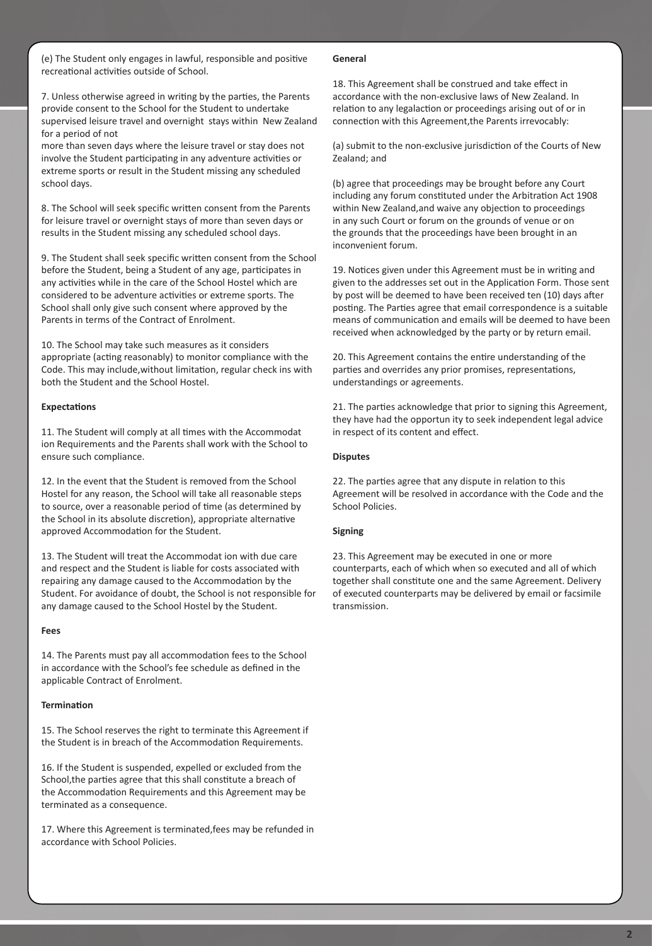(e) The Student only engages in lawful, responsible and positive recreational activities outside of School.

7. Unless otherwise agreed in writing by the parties, the Parents provide consent to the School for the Student to undertake supervised leisure travel and overnight stays within New Zealand for a period of not

more than seven days where the leisure travel or stay does not involve the Student participating in any adventure activities or extreme sports or result in the Student missing any scheduled school days.

8. The School will seek specific written consent from the Parents for leisure travel or overnight stays of more than seven days or results in the Student missing any scheduled school days.

9. The Student shall seek specific written consent from the School before the Student, being a Student of any age, participates in any activities while in the care of the School Hostel which are considered to be adventure activities or extreme sports. The School shall only give such consent where approved by the Parents in terms of the Contract of Enrolment.

10. The School may take such measures as it considers appropriate (acting reasonably) to monitor compliance with the Code. This may include,without limitation, regular check ins with both the Student and the School Hostel.

# **Expectations**

11. The Student will comply at all times with the Accommodat ion Requirements and the Parents shall work with the School to ensure such compliance.

12. In the event that the Student is removed from the School Hostel for any reason, the School will take all reasonable steps to source, over a reasonable period of time (as determined by the School in its absolute discretion), appropriate alternative approved Accommodation for the Student.

13. The Student will treat the Accommodat ion with due care and respect and the Student is liable for costs associated with repairing any damage caused to the Accommodation by the Student. For avoidance of doubt, the School is not responsible for any damage caused to the School Hostel by the Student.

## **Fees**

14. The Parents must pay all accommodation fees to the School in accordance with the School's fee schedule as defined in the applicable Contract of Enrolment.

### **Termination**

15. The School reserves the right to terminate this Agreement if the Student is in breach of the Accommodation Requirements.

16. If the Student is suspended, expelled or excluded from the School,the parties agree that this shall constitute a breach of the Accommodation Requirements and this Agreement may be terminated as a consequence.

17. Where this Agreement is terminated,fees may be refunded in accordance with School Policies.

#### **General**

18. This Agreement shall be construed and take effect in accordance with the non-exclusive laws of New Zealand. In relation to any legalaction or proceedings arising out of or in connection with this Agreement,the Parents irrevocably:

(a) submit to the non-exclusive jurisdiction of the Courts of New Zealand; and

(b) agree that proceedings may be brought before any Court including any forum constituted under the Arbitration Act 1908 within New Zealand,and waive any objection to proceedings in any such Court or forum on the grounds of venue or on the grounds that the proceedings have been brought in an inconvenient forum.

19. Notices given under this Agreement must be in writing and given to the addresses set out in the Application Form. Those sent by post will be deemed to have been received ten (10) days after posting. The Parties agree that email correspondence is a suitable means of communication and emails will be deemed to have been received when acknowledged by the party or by return email.

20. This Agreement contains the entire understanding of the parties and overrides any prior promises, representations, understandings or agreements.

21. The parties acknowledge that prior to signing this Agreement, they have had the opportun ity to seek independent legal advice in respect of its content and effect.

## **Disputes**

22. The parties agree that any dispute in relation to this Agreement will be resolved in accordance with the Code and the School Policies.

### **Signing**

23. This Agreement may be executed in one or more counterparts, each of which when so executed and all of which together shall constitute one and the same Agreement. Delivery of executed counterparts may be delivered by email or facsimile transmission.